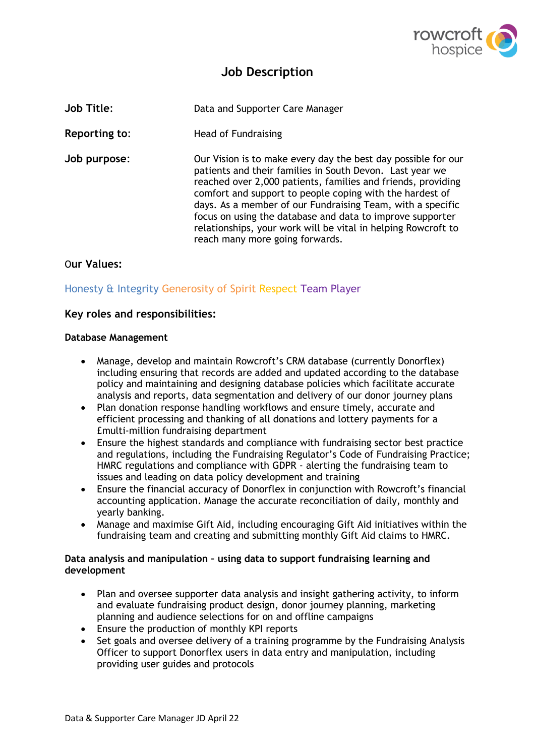

# **Job Description**

| <b>Job Title:</b> | Data and Supporter Care Manager                                                                                                                                                                                                                                                                                                                                                                                                                                                      |
|-------------------|--------------------------------------------------------------------------------------------------------------------------------------------------------------------------------------------------------------------------------------------------------------------------------------------------------------------------------------------------------------------------------------------------------------------------------------------------------------------------------------|
| Reporting to:     | Head of Fundraising                                                                                                                                                                                                                                                                                                                                                                                                                                                                  |
| Job purpose:      | Our Vision is to make every day the best day possible for our<br>patients and their families in South Devon. Last year we<br>reached over 2,000 patients, families and friends, providing<br>comfort and support to people coping with the hardest of<br>days. As a member of our Fundraising Team, with a specific<br>focus on using the database and data to improve supporter<br>relationships, your work will be vital in helping Rowcroft to<br>reach many more going forwards. |

# O**ur Values:**

# Honesty & Integrity Generosity of Spirit Respect Team Player

#### **Key roles and responsibilities:**

#### **Database Management**

- Manage, develop and maintain Rowcroft's CRM database (currently Donorflex) including ensuring that records are added and updated according to the database policy and maintaining and designing database policies which facilitate accurate analysis and reports, data segmentation and delivery of our donor journey plans
- Plan donation response handling workflows and ensure timely, accurate and efficient processing and thanking of all donations and lottery payments for a £multi-million fundraising department
- Ensure the highest standards and compliance with fundraising sector best practice and regulations, including the Fundraising Regulator's Code of Fundraising Practice; HMRC regulations and compliance with GDPR - alerting the fundraising team to issues and leading on data policy development and training
- Ensure the financial accuracy of Donorflex in conjunction with Rowcroft's financial accounting application. Manage the accurate reconciliation of daily, monthly and yearly banking.
- Manage and maximise Gift Aid, including encouraging Gift Aid initiatives within the fundraising team and creating and submitting monthly Gift Aid claims to HMRC.

#### **Data analysis and manipulation – using data to support fundraising learning and development**

- Plan and oversee supporter data analysis and insight gathering activity, to inform and evaluate fundraising product design, donor journey planning, marketing planning and audience selections for on and offline campaigns
- Ensure the production of monthly KPI reports
- Set goals and oversee delivery of a training programme by the Fundraising Analysis Officer to support Donorflex users in data entry and manipulation, including providing user guides and protocols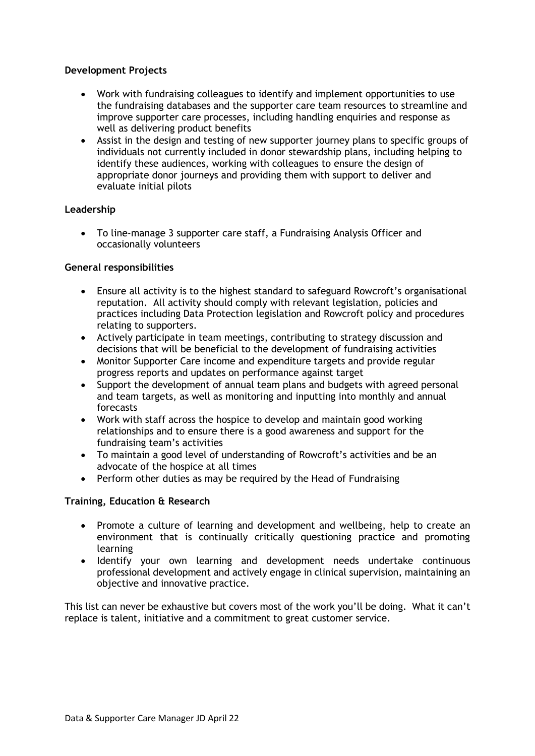#### **Development Projects**

- Work with fundraising colleagues to identify and implement opportunities to use the fundraising databases and the supporter care team resources to streamline and improve supporter care processes, including handling enquiries and response as well as delivering product benefits
- Assist in the design and testing of new supporter journey plans to specific groups of individuals not currently included in donor stewardship plans, including helping to identify these audiences, working with colleagues to ensure the design of appropriate donor journeys and providing them with support to deliver and evaluate initial pilots

## **Leadership**

• To line-manage 3 supporter care staff, a Fundraising Analysis Officer and occasionally volunteers

## **General responsibilities**

- Ensure all activity is to the highest standard to safeguard Rowcroft's organisational reputation. All activity should comply with relevant legislation, policies and practices including Data Protection legislation and Rowcroft policy and procedures relating to supporters.
- Actively participate in team meetings, contributing to strategy discussion and decisions that will be beneficial to the development of fundraising activities
- Monitor Supporter Care income and expenditure targets and provide regular progress reports and updates on performance against target
- Support the development of annual team plans and budgets with agreed personal and team targets, as well as monitoring and inputting into monthly and annual forecasts
- Work with staff across the hospice to develop and maintain good working relationships and to ensure there is a good awareness and support for the fundraising team's activities
- To maintain a good level of understanding of Rowcroft's activities and be an advocate of the hospice at all times
- Perform other duties as may be required by the Head of Fundraising

#### **Training, Education & Research**

- Promote a culture of learning and development and wellbeing, help to create an environment that is continually critically questioning practice and promoting learning
- Identify your own learning and development needs undertake continuous professional development and actively engage in clinical supervision, maintaining an objective and innovative practice.

This list can never be exhaustive but covers most of the work you'll be doing. What it can't replace is talent, initiative and a commitment to great customer service.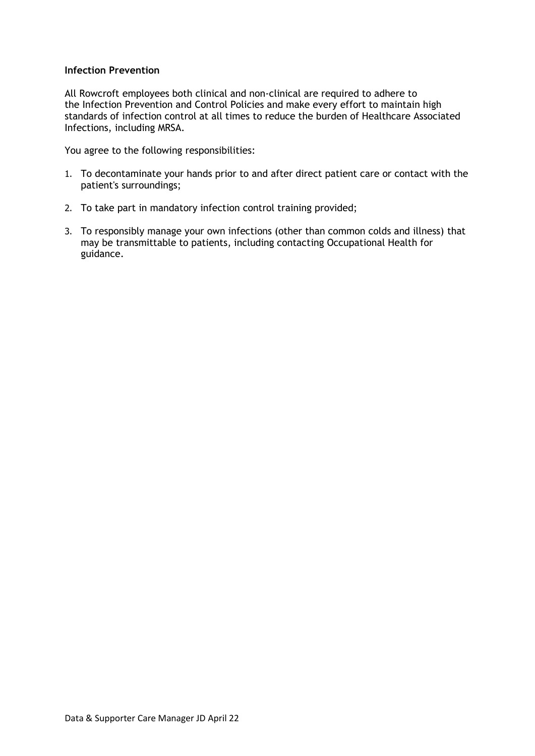#### **Infection Prevention**

All Rowcroft employees both clinical and non-clinical are required to adhere to the Infection Prevention and Control Policies and make every effort to maintain high standards of infection control at all times to reduce the burden of Healthcare Associated Infections, including MRSA.

You agree to the following responsibilities:

- 1. To decontaminate your hands prior to and after direct patient care or contact with the patient's surroundings;
- 2. To take part in mandatory infection control training provided;
- 3. To responsibly manage your own infections (other than common colds and illness) that may be transmittable to patients, including contacting Occupational Health for guidance.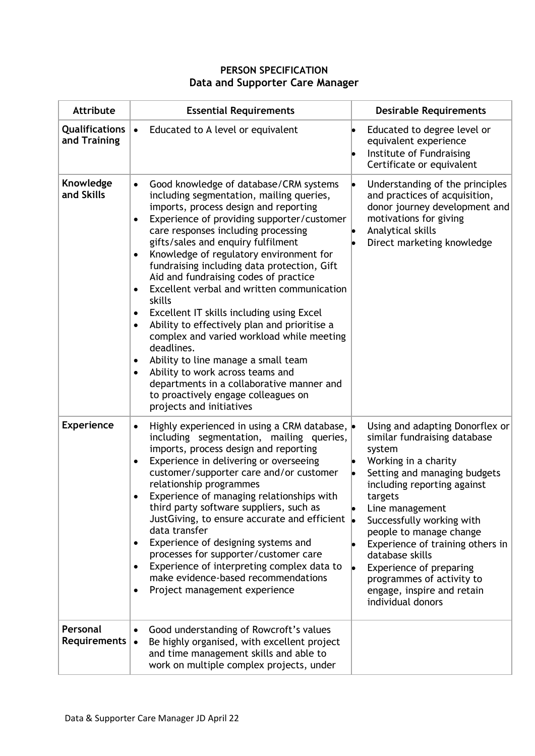# **PERSON SPECIFICATION Data and Supporter Care Manager**

| <b>Attribute</b>               | <b>Essential Requirements</b>                                                                                                                                                                                                                                                                                                                                                                                                                                                                                                                                                                                                                                                                                                                                                                                                                            | <b>Desirable Requirements</b>                                                                                                                                                                                                                                                                                                                                                                                            |
|--------------------------------|----------------------------------------------------------------------------------------------------------------------------------------------------------------------------------------------------------------------------------------------------------------------------------------------------------------------------------------------------------------------------------------------------------------------------------------------------------------------------------------------------------------------------------------------------------------------------------------------------------------------------------------------------------------------------------------------------------------------------------------------------------------------------------------------------------------------------------------------------------|--------------------------------------------------------------------------------------------------------------------------------------------------------------------------------------------------------------------------------------------------------------------------------------------------------------------------------------------------------------------------------------------------------------------------|
| Qualifications<br>and Training | Educated to A level or equivalent<br>$\bullet$                                                                                                                                                                                                                                                                                                                                                                                                                                                                                                                                                                                                                                                                                                                                                                                                           | Educated to degree level or<br>equivalent experience<br>Institute of Fundraising<br>Certificate or equivalent                                                                                                                                                                                                                                                                                                            |
| Knowledge<br>and Skills        | Good knowledge of database/CRM systems<br>$\bullet$<br>including segmentation, mailing queries,<br>imports, process design and reporting<br>Experience of providing supporter/customer<br>$\bullet$<br>care responses including processing<br>gifts/sales and enquiry fulfilment<br>Knowledge of regulatory environment for<br>fundraising including data protection, Gift<br>Aid and fundraising codes of practice<br>Excellent verbal and written communication<br>$\bullet$<br>skills<br>Excellent IT skills including using Excel<br>Ability to effectively plan and prioritise a<br>$\bullet$<br>complex and varied workload while meeting<br>deadlines.<br>Ability to line manage a small team<br>Ability to work across teams and<br>departments in a collaborative manner and<br>to proactively engage colleagues on<br>projects and initiatives | Understanding of the principles<br>and practices of acquisition,<br>donor journey development and<br>motivations for giving<br>Analytical skills<br>Direct marketing knowledge                                                                                                                                                                                                                                           |
| <b>Experience</b>              | Highly experienced in using a CRM database, $\bullet$<br>$\bullet$<br>including segmentation, mailing queries,<br>imports, process design and reporting<br>Experience in delivering or overseeing<br>$\bullet$<br>customer/supporter care and/or customer<br>relationship programmes<br>Experience of managing relationships with<br>third party software suppliers, such as<br>Just Giving, to ensure accurate and efficient $\vert \bullet \vert$<br>data transfer<br>Experience of designing systems and<br>$\bullet$<br>processes for supporter/customer care<br>Experience of interpreting complex data to<br>make evidence-based recommendations<br>Project management experience<br>٠                                                                                                                                                             | Using and adapting Donorflex or<br>similar fundraising database<br>system<br>Working in a charity<br>Setting and managing budgets<br>including reporting against<br>targets<br>Line management<br>Successfully working with<br>people to manage change<br>Experience of training others in<br>database skills<br>Experience of preparing<br>programmes of activity to<br>engage, inspire and retain<br>individual donors |
| Personal<br>Requirements       | Good understanding of Rowcroft's values<br>Be highly organised, with excellent project<br>and time management skills and able to<br>work on multiple complex projects, under                                                                                                                                                                                                                                                                                                                                                                                                                                                                                                                                                                                                                                                                             |                                                                                                                                                                                                                                                                                                                                                                                                                          |